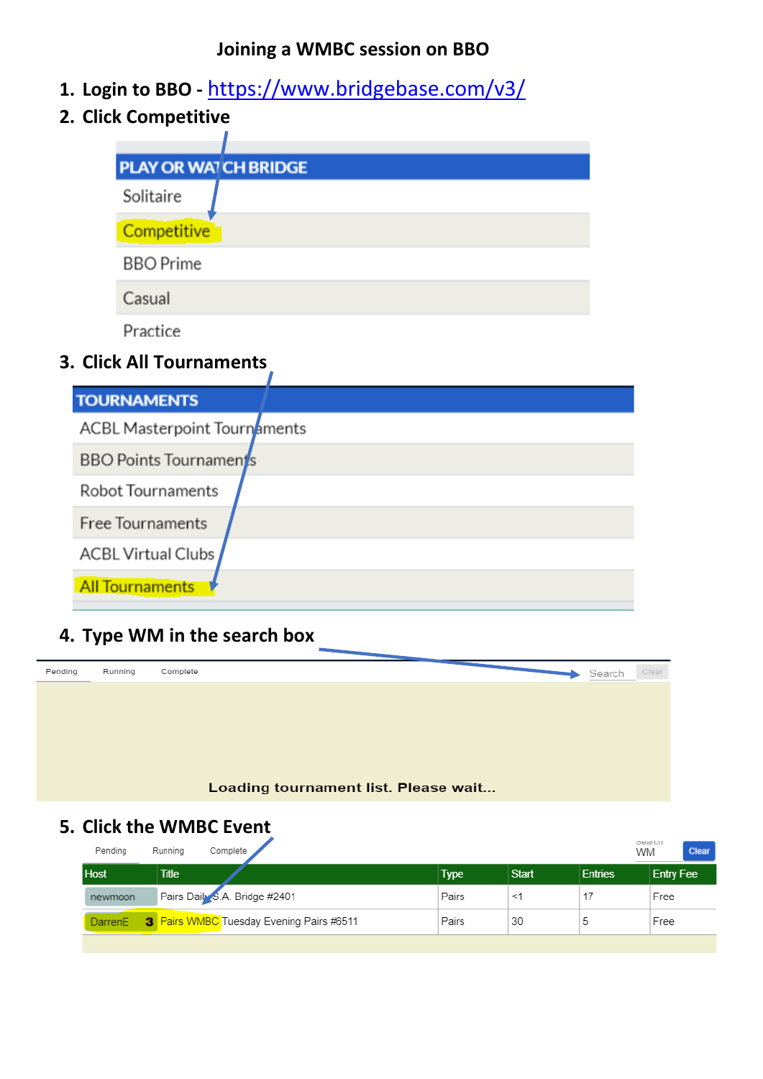#### **Joining a WMBC session on BBO**

- **1. Login to BBO -** <https://www.bridgebase.com/v3/>
- **2. Click Competitive**

| <b>PLAY OR WATCH BRIDGE</b> |  |
|-----------------------------|--|
| Solitaire                   |  |
| Competitive                 |  |
| <b>BBO</b> Prime            |  |
| Casual                      |  |
| Practice                    |  |
|                             |  |

## **3. Click All Tournaments**

| <b>TOURNAMENTS</b>            |  |  |  |
|-------------------------------|--|--|--|
| ACBL Masterpoint Tournaments  |  |  |  |
| <b>BBO Points Tournaments</b> |  |  |  |
| <b>Robot Tournaments</b>      |  |  |  |
| <b>Free Tournaments</b>       |  |  |  |
| <b>ACBL Virtual Clubs</b>     |  |  |  |
| <b>All Tournaments</b>        |  |  |  |

# **4. Type WM in the search box**



### **5. Click the WMBC Event**

| Pending             | Running      | Complete                                        |       |              |                | OBSILCIL<br><b>Clear</b><br><b>WM</b> |
|---------------------|--------------|-------------------------------------------------|-------|--------------|----------------|---------------------------------------|
| <b>Host</b>         | <b>Title</b> |                                                 | Type  | <b>Start</b> | <b>Entries</b> | Entry Fee                             |
| newmoon             |              | Pairs Daily S.A. Bridge #2401                   | Pairs | <1           |                | Free                                  |
| Darren <sub>E</sub> |              | <b>3</b> Pairs WMBC Tuesday Evening Pairs #6511 | Pairs | 30           | 5              | Free                                  |
|                     |              |                                                 |       |              |                |                                       |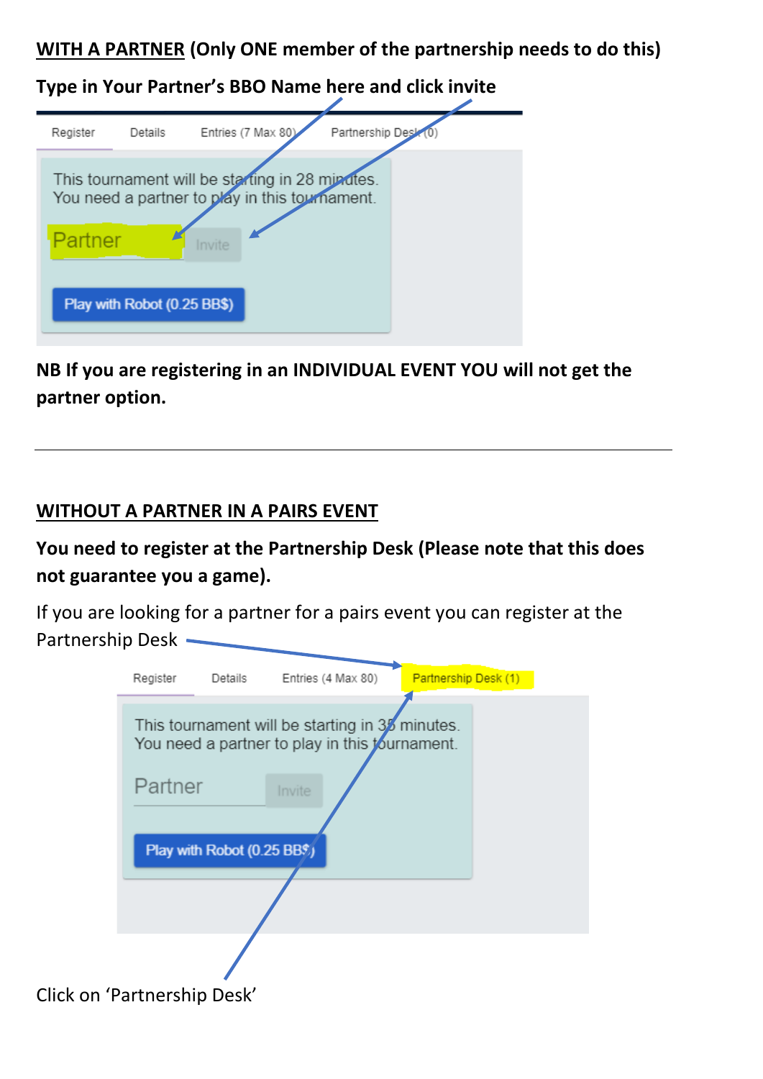**WITH A PARTNER (Only ONE member of the partnership needs to do this)**

**Type in Your Partner's BBO Name here and click invite**

| Register | Details                     | Entries (7 Max 80)                                                                                          | Partnership Desk |  |
|----------|-----------------------------|-------------------------------------------------------------------------------------------------------------|------------------|--|
| Partner  | Play with Robot (0.25 BB\$) | This tournament will be starting in 28 minutes.<br>You need a partner to play in this tournament.<br>Invite |                  |  |

**NB If you are registering in an INDIVIDUAL EVENT YOU will not get the partner option.**

### **WITHOUT A PARTNER IN A PAIRS EVENT**

**You need to register at the Partnership Desk (Please note that this does not guarantee you a game).**

If you are looking for a partner for a pairs event you can register at the Partnership Desk